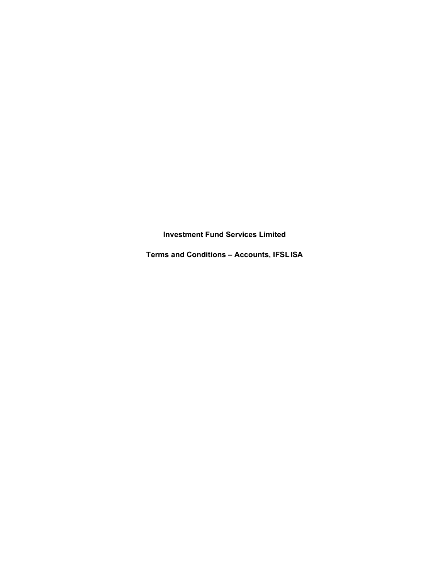Investment Fund Services Limited

Terms and Conditions – Accounts, IFSL ISA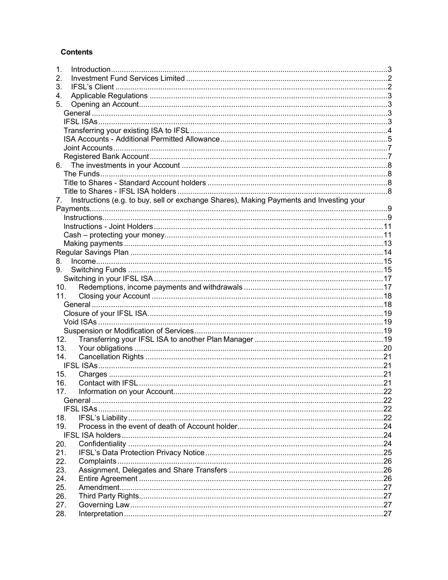# **Contents**

| 1.                                                                                            |  |     |
|-----------------------------------------------------------------------------------------------|--|-----|
| 2.                                                                                            |  |     |
| 3.                                                                                            |  |     |
| 4.                                                                                            |  |     |
| 5.                                                                                            |  |     |
|                                                                                               |  |     |
|                                                                                               |  |     |
|                                                                                               |  |     |
|                                                                                               |  |     |
|                                                                                               |  |     |
|                                                                                               |  |     |
| 6.                                                                                            |  |     |
|                                                                                               |  |     |
|                                                                                               |  |     |
|                                                                                               |  |     |
| Instructions (e.g. to buy, sell or exchange Shares), Making Payments and Investing your<br>7. |  |     |
|                                                                                               |  |     |
|                                                                                               |  |     |
|                                                                                               |  |     |
|                                                                                               |  |     |
|                                                                                               |  |     |
|                                                                                               |  |     |
| 8.                                                                                            |  |     |
| 9.                                                                                            |  |     |
|                                                                                               |  |     |
| 10.                                                                                           |  |     |
| 11.                                                                                           |  |     |
|                                                                                               |  |     |
|                                                                                               |  |     |
|                                                                                               |  |     |
|                                                                                               |  |     |
| 12.                                                                                           |  |     |
| 13.                                                                                           |  |     |
| 14.                                                                                           |  |     |
|                                                                                               |  |     |
| 15.                                                                                           |  |     |
| 16.                                                                                           |  |     |
| 17.                                                                                           |  | .22 |
|                                                                                               |  |     |
|                                                                                               |  |     |
| 18.                                                                                           |  |     |
| 19.                                                                                           |  |     |
|                                                                                               |  |     |
| 20.                                                                                           |  |     |
| 21.                                                                                           |  |     |
| 22.                                                                                           |  |     |
| 23.                                                                                           |  |     |
| 24.                                                                                           |  |     |
| 25.                                                                                           |  |     |
| 26.                                                                                           |  |     |
| 27.                                                                                           |  |     |
| 28.                                                                                           |  |     |
|                                                                                               |  |     |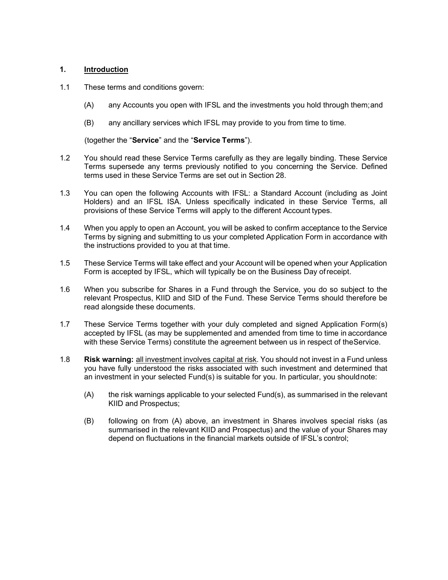# 1. Introduction

- 1.1 These terms and conditions govern:
	- (A) any Accounts you open with IFSL and the investments you hold through them; and
	- (B) any ancillary services which IFSL may provide to you from time to time.

(together the "Service" and the "Service Terms").

- 1.2 You should read these Service Terms carefully as they are legally binding. These Service Terms supersede any terms previously notified to you concerning the Service. Defined terms used in these Service Terms are set out in Section 28.
- 1.3 You can open the following Accounts with IFSL: a Standard Account (including as Joint Holders) and an IFSL ISA. Unless specifically indicated in these Service Terms, all provisions of these Service Terms will apply to the different Account types.
- 1.4 When you apply to open an Account, you will be asked to confirm acceptance to the Service Terms by signing and submitting to us your completed Application Form in accordance with the instructions provided to you at that time.
- 1.5 These Service Terms will take effect and your Account will be opened when your Application Form is accepted by IFSL, which will typically be on the Business Day of receipt.
- 1.6 When you subscribe for Shares in a Fund through the Service, you do so subject to the relevant Prospectus, KIID and SID of the Fund. These Service Terms should therefore be read alongside these documents.
- 1.7 These Service Terms together with your duly completed and signed Application Form(s) accepted by IFSL (as may be supplemented and amended from time to time in accordance with these Service Terms) constitute the agreement between us in respect of the Service.
- 1.8 Risk warning: all investment involves capital at risk. You should not invest in a Fund unless you have fully understood the risks associated with such investment and determined that an investment in your selected Fund(s) is suitable for you. In particular, you should note:
	- (A) the risk warnings applicable to your selected Fund(s), as summarised in the relevant KIID and Prospectus;
	- (B) following on from (A) above, an investment in Shares involves special risks (as summarised in the relevant KIID and Prospectus) and the value of your Shares may depend on fluctuations in the financial markets outside of IFSL's control;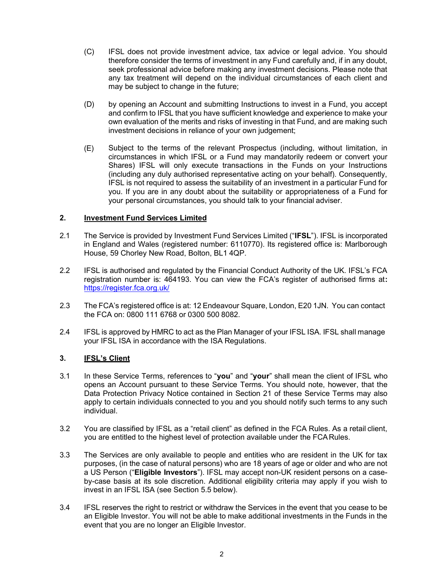- (C) IFSL does not provide investment advice, tax advice or legal advice. You should therefore consider the terms of investment in any Fund carefully and, if in any doubt, seek professional advice before making any investment decisions. Please note that any tax treatment will depend on the individual circumstances of each client and may be subject to change in the future;
- (D) by opening an Account and submitting Instructions to invest in a Fund, you accept and confirm to IFSL that you have sufficient knowledge and experience to make your own evaluation of the merits and risks of investing in that Fund, and are making such investment decisions in reliance of your own judgement;
- (E) Subject to the terms of the relevant Prospectus (including, without limitation, in circumstances in which IFSL or a Fund may mandatorily redeem or convert your Shares) IFSL will only execute transactions in the Funds on your Instructions (including any duly authorised representative acting on your behalf). Consequently, IFSL is not required to assess the suitability of an investment in a particular Fund for you. If you are in any doubt about the suitability or appropriateness of a Fund for your personal circumstances, you should talk to your financial adviser.

## 2. Investment Fund Services Limited

- 2.1 The Service is provided by Investment Fund Services Limited ("IFSL"). IFSL is incorporated in England and Wales (registered number: 6110770). Its registered office is: Marlborough House, 59 Chorley New Road, Bolton, BL1 4QP.
- 2.2 IFSL is authorised and regulated by the Financial Conduct Authority of the UK. IFSL's FCA registration number is: 464193. You can view the FCA's register of authorised firms at: https://register.fca.org.uk/
- 2.3 The FCA's registered office is at: 12 Endeavour Square, London, E20 1JN. You can contact the FCA on: 0800 111 6768 or 0300 500 8082.
- 2.4 IFSL is approved by HMRC to act as the Plan Manager of your IFSL ISA. IFSL shall manage your IFSL ISA in accordance with the ISA Regulations.

## 3. IFSL's Client

- 3.1 In these Service Terms, references to "you" and "your" shall mean the client of IFSL who opens an Account pursuant to these Service Terms. You should note, however, that the Data Protection Privacy Notice contained in Section 21 of these Service Terms may also apply to certain individuals connected to you and you should notify such terms to any such individual.
- 3.2 You are classified by IFSL as a "retail client" as defined in the FCA Rules. As a retail client, you are entitled to the highest level of protection available under the FCA Rules.
- 3.3 The Services are only available to people and entities who are resident in the UK for tax purposes, (in the case of natural persons) who are 18 years of age or older and who are not a US Person ("Eligible Investors"). IFSL may accept non-UK resident persons on a caseby-case basis at its sole discretion. Additional eligibility criteria may apply if you wish to invest in an IFSL ISA (see Section 5.5 below).
- 3.4 IFSL reserves the right to restrict or withdraw the Services in the event that you cease to be an Eligible Investor. You will not be able to make additional investments in the Funds in the event that you are no longer an Eligible Investor.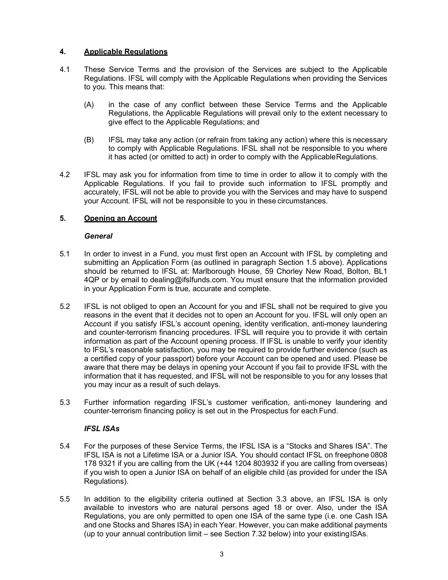# 4. Applicable Regulations

- 4.1 These Service Terms and the provision of the Services are subject to the Applicable Regulations. IFSL will comply with the Applicable Regulations when providing the Services to you. This means that:
	- (A) in the case of any conflict between these Service Terms and the Applicable Regulations, the Applicable Regulations will prevail only to the extent necessary to give effect to the Applicable Regulations; and
	- (B) IFSL may take any action (or refrain from taking any action) where this is necessary to comply with Applicable Regulations. IFSL shall not be responsible to you where it has acted (or omitted to act) in order to comply with the Applicable Regulations.
- 4.2 IFSL may ask you for information from time to time in order to allow it to comply with the Applicable Regulations. If you fail to provide such information to IFSL promptly and accurately, IFSL will not be able to provide you with the Services and may have to suspend your Account. IFSL will not be responsible to you in these circumstances.

# 5. Opening an Account

## **General**

- 5.1 In order to invest in a Fund, you must first open an Account with IFSL by completing and submitting an Application Form (as outlined in paragraph Section 1.5 above). Applications should be returned to IFSL at: Marlborough House, 59 Chorley New Road, Bolton, BL1 4QP or by email to dealing@ifslfunds.com. You must ensure that the information provided in your Application Form is true, accurate and complete.
- 5.2 IFSL is not obliged to open an Account for you and IFSL shall not be required to give you reasons in the event that it decides not to open an Account for you. IFSL will only open an Account if you satisfy IFSL's account opening, identity verification, anti-money laundering and counter-terrorism financing procedures. IFSL will require you to provide it with certain information as part of the Account opening process. If IFSL is unable to verify your identity to IFSL's reasonable satisfaction, you may be required to provide further evidence (such as a certified copy of your passport) before your Account can be opened and used. Please be aware that there may be delays in opening your Account if you fail to provide IFSL with the information that it has requested, and IFSL will not be responsible to you for any losses that you may incur as a result of such delays.
- 5.3 Further information regarding IFSL's customer verification, anti-money laundering and counter-terrorism financing policy is set out in the Prospectus for each Fund.

## IFSL ISAs

- 5.4 For the purposes of these Service Terms, the IFSL ISA is a "Stocks and Shares ISA". The IFSL ISA is not a Lifetime ISA or a Junior ISA. You should contact IFSL on freephone 0808 178 9321 if you are calling from the UK (+44 1204 803932 if you are calling from overseas) if you wish to open a Junior ISA on behalf of an eligible child (as provided for under the ISA Regulations).
- 5.5 In addition to the eligibility criteria outlined at Section 3.3 above, an IFSL ISA is only available to investors who are natural persons aged 18 or over. Also, under the ISA Regulations, you are only permitted to open one ISA of the same type (i.e. one Cash ISA and one Stocks and Shares ISA) in each Year. However, you can make additional payments (up to your annual contribution limit – see Section 7.32 below) into your existing ISAs.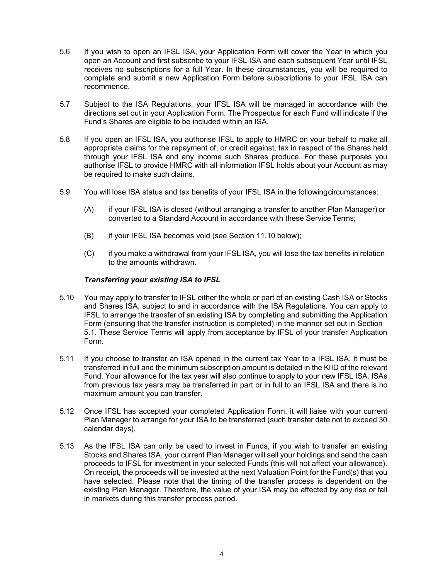- 5.6 If you wish to open an IFSL ISA, your Application Form will cover the Year in which you open an Account and first subscribe to your IFSL ISA and each subsequent Year until IFSL receives no subscriptions for a full Year. In these circumstances, you will be required to complete and submit a new Application Form before subscriptions to your IFSL ISA can recommence.
- 5.7 Subject to the ISA Regulations, your IFSL ISA will be managed in accordance with the directions set out in your Application Form. The Prospectus for each Fund will indicate if the Fund's Shares are eligible to be included within an ISA.
- 5.8 If you open an IFSL ISA, you authorise IFSL to apply to HMRC on your behalf to make all appropriate claims for the repayment of, or credit against, tax in respect of the Shares held through your IFSL ISA and any income such Shares produce. For these purposes you authorise IFSL to provide HMRC with all information IFSL holds about your Account as may be required to make such claims.
- 5.9 You will lose ISA status and tax benefits of your IFSL ISA in the following circumstances:
	- (A) if your IFSL ISA is closed (without arranging a transfer to another Plan Manager) or converted to a Standard Account in accordance with these Service Terms;
	- (B) if your IFSL ISA becomes void (see Section 11.10 below);
	- (C) if you make a withdrawal from your IFSL ISA, you will lose the tax benefits in relation to the amounts withdrawn.

## Transferring your existing ISA to IFSL

- 5.10 You may apply to transfer to IFSL either the whole or part of an existing Cash ISA or Stocks and Shares ISA, subject to and in accordance with the ISA Regulations. You can apply to IFSL to arrange the transfer of an existing ISA by completing and submitting the Application Form (ensuring that the transfer instruction is completed) in the manner set out in Section 5.1. These Service Terms will apply from acceptance by IFSL of your transfer Application Form.
- 5.11 If you choose to transfer an ISA opened in the current tax Year to a IFSL ISA, it must be transferred in full and the minimum subscription amount is detailed in the KIID of the relevant Fund. Your allowance for the tax year will also continue to apply to your new IFSL ISA. ISAs from previous tax years may be transferred in part or in full to an IFSL ISA and there is no maximum amount you can transfer.
- 5.12 Once IFSL has accepted your completed Application Form, it will liaise with your current Plan Manager to arrange for your ISA to be transferred (such transfer date not to exceed 30 calendar days).
- 5.13 As the IFSL ISA can only be used to invest in Funds, if you wish to transfer an existing Stocks and Shares ISA, your current Plan Manager will sell your holdings and send the cash proceeds to IFSL for investment in your selected Funds (this will not affect your allowance). On receipt, the proceeds will be invested at the next Valuation Point for the Fund(s) that you have selected. Please note that the timing of the transfer process is dependent on the existing Plan Manager. Therefore, the value of your ISA may be affected by any rise or fall in markets during this transfer process period.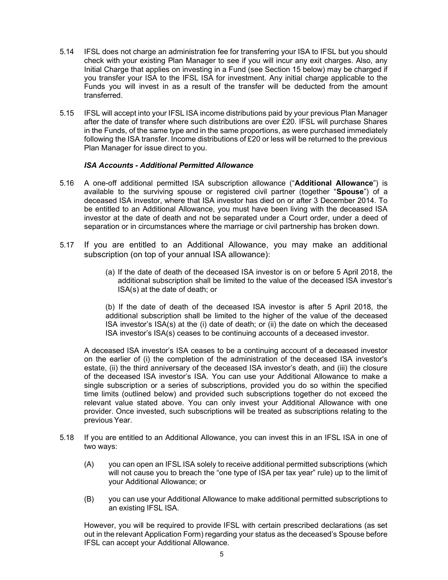- 5.14 IFSL does not charge an administration fee for transferring your ISA to IFSL but you should check with your existing Plan Manager to see if you will incur any exit charges. Also, any Initial Charge that applies on investing in a Fund (see Section 15 below) may be charged if you transfer your ISA to the IFSL ISA for investment. Any initial charge applicable to the Funds you will invest in as a result of the transfer will be deducted from the amount transferred.
- 5.15 IFSL will accept into your IFSL ISA income distributions paid by your previous Plan Manager after the date of transfer where such distributions are over £20. IFSL will purchase Shares in the Funds, of the same type and in the same proportions, as were purchased immediately following the ISA transfer. Income distributions of £20 or less will be returned to the previous Plan Manager for issue direct to you.

# ISA Accounts - Additional Permitted Allowance

- 5.16 A one-off additional permitted ISA subscription allowance ("Additional Allowance") is available to the surviving spouse or registered civil partner (together "Spouse") of a deceased ISA investor, where that ISA investor has died on or after 3 December 2014. To be entitled to an Additional Allowance, you must have been living with the deceased ISA investor at the date of death and not be separated under a Court order, under a deed of separation or in circumstances where the marriage or civil partnership has broken down.
- 5.17 If you are entitled to an Additional Allowance, you may make an additional subscription (on top of your annual ISA allowance):
	- (a) If the date of death of the deceased ISA investor is on or before 5 April 2018, the additional subscription shall be limited to the value of the deceased ISA investor's ISA(s) at the date of death; or

(b) If the date of death of the deceased ISA investor is after 5 April 2018, the additional subscription shall be limited to the higher of the value of the deceased ISA investor's ISA(s) at the (i) date of death; or (ii) the date on which the deceased ISA investor's ISA(s) ceases to be continuing accounts of a deceased investor.

A deceased ISA investor's ISA ceases to be a continuing account of a deceased investor on the earlier of (i) the completion of the administration of the deceased ISA investor's estate, (ii) the third anniversary of the deceased ISA investor's death, and (iii) the closure of the deceased ISA investor's ISA. You can use your Additional Allowance to make a single subscription or a series of subscriptions, provided you do so within the specified time limits (outlined below) and provided such subscriptions together do not exceed the relevant value stated above. You can only invest your Additional Allowance with one provider. Once invested, such subscriptions will be treated as subscriptions relating to the previous Year.

- 5.18 If you are entitled to an Additional Allowance, you can invest this in an IFSL ISA in one of two ways:
	- (A) you can open an IFSL ISA solely to receive additional permitted subscriptions (which will not cause you to breach the "one type of ISA per tax year" rule) up to the limit of your Additional Allowance; or
	- (B) you can use your Additional Allowance to make additional permitted subscriptions to an existing IFSL ISA.

However, you will be required to provide IFSL with certain prescribed declarations (as set out in the relevant Application Form) regarding your status as the deceased's Spouse before IFSL can accept your Additional Allowance.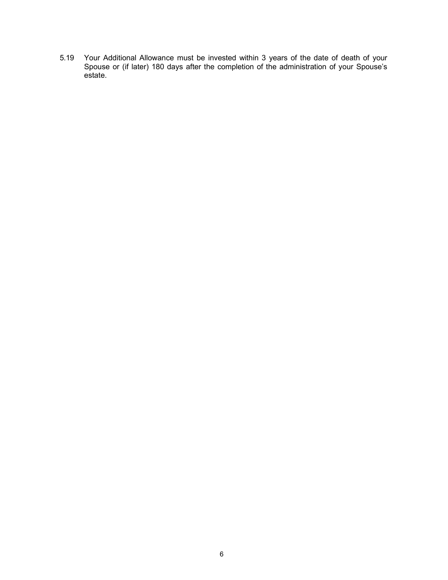5.19 Your Additional Allowance must be invested within 3 years of the date of death of your Spouse or (if later) 180 days after the completion of the administration of your Spouse's estate.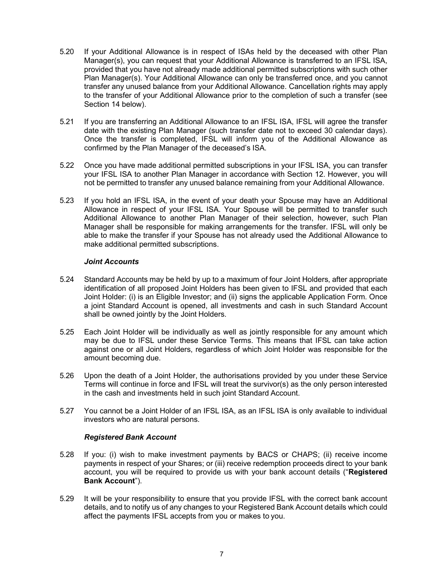- 5.20 If your Additional Allowance is in respect of ISAs held by the deceased with other Plan Manager(s), you can request that your Additional Allowance is transferred to an IFSL ISA, provided that you have not already made additional permitted subscriptions with such other Plan Manager(s). Your Additional Allowance can only be transferred once, and you cannot transfer any unused balance from your Additional Allowance. Cancellation rights may apply to the transfer of your Additional Allowance prior to the completion of such a transfer (see Section 14 below).
- 5.21 If you are transferring an Additional Allowance to an IFSL ISA, IFSL will agree the transfer date with the existing Plan Manager (such transfer date not to exceed 30 calendar days). Once the transfer is completed, IFSL will inform you of the Additional Allowance as confirmed by the Plan Manager of the deceased's ISA.
- 5.22 Once you have made additional permitted subscriptions in your IFSL ISA, you can transfer your IFSL ISA to another Plan Manager in accordance with Section 12. However, you will not be permitted to transfer any unused balance remaining from your Additional Allowance.
- 5.23 If you hold an IFSL ISA, in the event of your death your Spouse may have an Additional Allowance in respect of your IFSL ISA. Your Spouse will be permitted to transfer such Additional Allowance to another Plan Manager of their selection, however, such Plan Manager shall be responsible for making arrangements for the transfer. IFSL will only be able to make the transfer if your Spouse has not already used the Additional Allowance to make additional permitted subscriptions.

## Joint Accounts

- 5.24 Standard Accounts may be held by up to a maximum of four Joint Holders, after appropriate identification of all proposed Joint Holders has been given to IFSL and provided that each Joint Holder: (i) is an Eligible Investor; and (ii) signs the applicable Application Form. Once a joint Standard Account is opened, all investments and cash in such Standard Account shall be owned jointly by the Joint Holders.
- 5.25 Each Joint Holder will be individually as well as jointly responsible for any amount which may be due to IFSL under these Service Terms. This means that IFSL can take action against one or all Joint Holders, regardless of which Joint Holder was responsible for the amount becoming due.
- 5.26 Upon the death of a Joint Holder, the authorisations provided by you under these Service Terms will continue in force and IFSL will treat the survivor(s) as the only person interested in the cash and investments held in such joint Standard Account.
- 5.27 You cannot be a Joint Holder of an IFSL ISA, as an IFSL ISA is only available to individual investors who are natural persons.

## Registered Bank Account

- 5.28 If you: (i) wish to make investment payments by BACS or CHAPS; (ii) receive income payments in respect of your Shares; or (iii) receive redemption proceeds direct to your bank account, you will be required to provide us with your bank account details ("Registered Bank Account").
- 5.29 It will be your responsibility to ensure that you provide IFSL with the correct bank account details, and to notify us of any changes to your Registered Bank Account details which could affect the payments IFSL accepts from you or makes to you.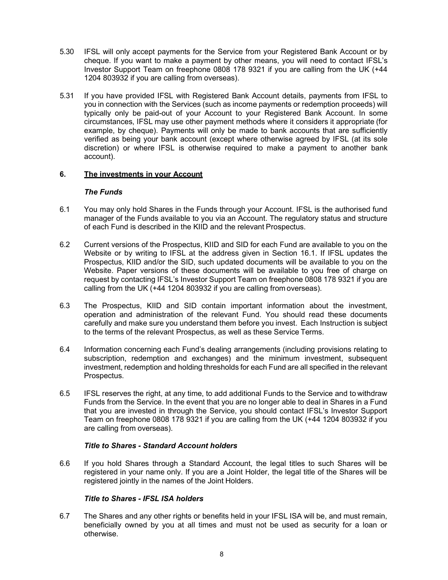- 5.30 IFSL will only accept payments for the Service from your Registered Bank Account or by cheque. If you want to make a payment by other means, you will need to contact IFSL's Investor Support Team on freephone 0808 178 9321 if you are calling from the UK (+44 1204 803932 if you are calling from overseas).
- 5.31 If you have provided IFSL with Registered Bank Account details, payments from IFSL to you in connection with the Services (such as income payments or redemption proceeds) will typically only be paid-out of your Account to your Registered Bank Account. In some circumstances, IFSL may use other payment methods where it considers it appropriate (for example, by cheque). Payments will only be made to bank accounts that are sufficiently verified as being your bank account (except where otherwise agreed by IFSL (at its sole discretion) or where IFSL is otherwise required to make a payment to another bank account).

## 6. The investments in your Account

### The Funds

- 6.1 You may only hold Shares in the Funds through your Account. IFSL is the authorised fund manager of the Funds available to you via an Account. The regulatory status and structure of each Fund is described in the KIID and the relevant Prospectus.
- 6.2 Current versions of the Prospectus, KIID and SID for each Fund are available to you on the Website or by writing to IFSL at the address given in Section 16.1. If IFSL updates the Prospectus, KIID and/or the SID, such updated documents will be available to you on the Website. Paper versions of these documents will be available to you free of charge on request by contacting IFSL's Investor Support Team on freephone 0808 178 9321 if you are calling from the UK (+44 1204 803932 if you are calling from overseas).
- 6.3 The Prospectus, KIID and SID contain important information about the investment, operation and administration of the relevant Fund. You should read these documents carefully and make sure you understand them before you invest. Each Instruction is subject to the terms of the relevant Prospectus, as well as these Service Terms.
- 6.4 Information concerning each Fund's dealing arrangements (including provisions relating to subscription, redemption and exchanges) and the minimum investment, subsequent investment, redemption and holding thresholds for each Fund are all specified in the relevant Prospectus.
- 6.5 IFSL reserves the right, at any time, to add additional Funds to the Service and to withdraw Funds from the Service. In the event that you are no longer able to deal in Shares in a Fund that you are invested in through the Service, you should contact IFSL's Investor Support Team on freephone 0808 178 9321 if you are calling from the UK (+44 1204 803932 if you are calling from overseas).

## Title to Shares - Standard Account holders

6.6 If you hold Shares through a Standard Account, the legal titles to such Shares will be registered in your name only. If you are a Joint Holder, the legal title of the Shares will be registered jointly in the names of the Joint Holders.

## Title to Shares - IFSL ISA holders

6.7 The Shares and any other rights or benefits held in your IFSL ISA will be, and must remain, beneficially owned by you at all times and must not be used as security for a loan or otherwise.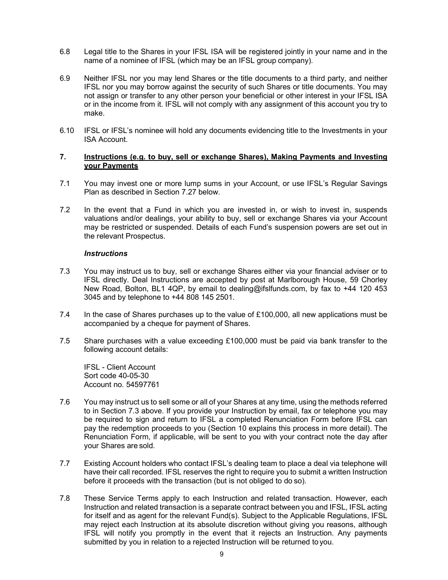- 6.8 Legal title to the Shares in your IFSL ISA will be registered jointly in your name and in the name of a nominee of IFSL (which may be an IFSL group company).
- 6.9 Neither IFSL nor you may lend Shares or the title documents to a third party, and neither IFSL nor you may borrow against the security of such Shares or title documents. You may not assign or transfer to any other person your beneficial or other interest in your IFSL ISA or in the income from it. IFSL will not comply with any assignment of this account you try to make.
- 6.10 IFSL or IFSL's nominee will hold any documents evidencing title to the Investments in your ISA Account.

### 7. Instructions (e.g. to buy, sell or exchange Shares), Making Payments and Investing your Payments

- 7.1 You may invest one or more lump sums in your Account, or use IFSL's Regular Savings Plan as described in Section 7.27 below.
- 7.2 In the event that a Fund in which you are invested in, or wish to invest in, suspends valuations and/or dealings, your ability to buy, sell or exchange Shares via your Account may be restricted or suspended. Details of each Fund's suspension powers are set out in the relevant Prospectus.

#### **Instructions**

- 7.3 You may instruct us to buy, sell or exchange Shares either via your financial adviser or to IFSL directly. Deal Instructions are accepted by post at Marlborough House, 59 Chorley New Road, Bolton, BL1 4QP, by email to dealing@ifslfunds.com, by fax to +44 120 453 3045 and by telephone to +44 808 145 2501.
- 7.4 In the case of Shares purchases up to the value of £100,000, all new applications must be accompanied by a cheque for payment of Shares.
- 7.5 Share purchases with a value exceeding £100,000 must be paid via bank transfer to the following account details:

IFSL - Client Account Sort code 40-05-30 Account no. 54597761

- 7.6 You may instruct us to sell some or all of your Shares at any time, using the methods referred to in Section 7.3 above. If you provide your Instruction by email, fax or telephone you may be required to sign and return to IFSL a completed Renunciation Form before IFSL can pay the redemption proceeds to you (Section 10 explains this process in more detail). The Renunciation Form, if applicable, will be sent to you with your contract note the day after your Shares are sold.
- 7.7 Existing Account holders who contact IFSL's dealing team to place a deal via telephone will have their call recorded. IFSL reserves the right to require you to submit a written Instruction before it proceeds with the transaction (but is not obliged to do so).
- 7.8 These Service Terms apply to each Instruction and related transaction. However, each Instruction and related transaction is a separate contract between you and IFSL, IFSL acting for itself and as agent for the relevant Fund(s). Subject to the Applicable Regulations, IFSL may reject each Instruction at its absolute discretion without giving you reasons, although IFSL will notify you promptly in the event that it rejects an Instruction. Any payments submitted by you in relation to a rejected Instruction will be returned to you.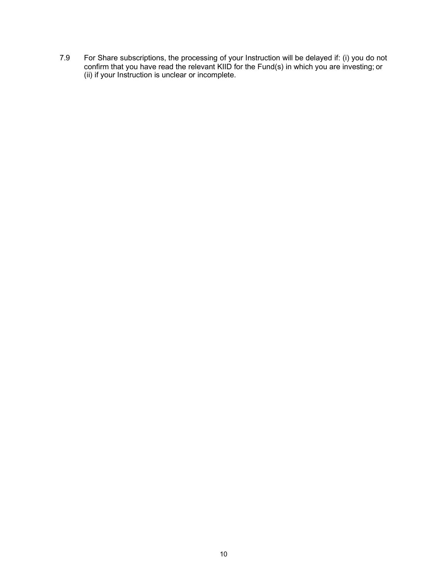7.9 For Share subscriptions, the processing of your Instruction will be delayed if: (i) you do not confirm that you have read the relevant KIID for the Fund(s) in which you are investing; or (ii) if your Instruction is unclear or incomplete.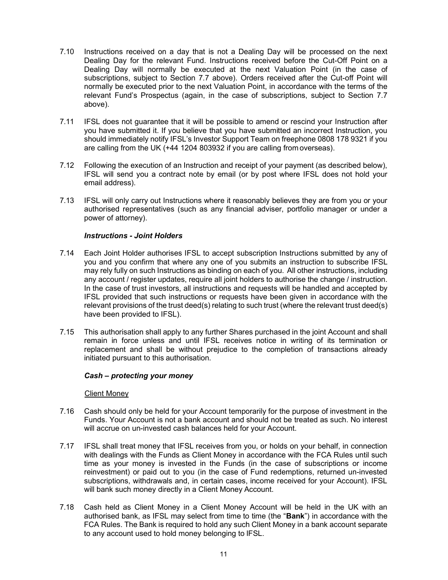- 7.10 Instructions received on a day that is not a Dealing Day will be processed on the next Dealing Day for the relevant Fund. Instructions received before the Cut-Off Point on a Dealing Day will normally be executed at the next Valuation Point (in the case of subscriptions, subject to Section 7.7 above). Orders received after the Cut-off Point will normally be executed prior to the next Valuation Point, in accordance with the terms of the relevant Fund's Prospectus (again, in the case of subscriptions, subject to Section 7.7 above).
- 7.11 IFSL does not guarantee that it will be possible to amend or rescind your Instruction after you have submitted it. If you believe that you have submitted an incorrect Instruction, you should immediately notify IFSL's Investor Support Team on freephone 0808 178 9321 if you are calling from the UK (+44 1204 803932 if you are calling from overseas).
- 7.12 Following the execution of an Instruction and receipt of your payment (as described below), IFSL will send you a contract note by email (or by post where IFSL does not hold your email address).
- 7.13 IFSL will only carry out Instructions where it reasonably believes they are from you or your authorised representatives (such as any financial adviser, portfolio manager or under a power of attorney).

# Instructions - Joint Holders

- 7.14 Each Joint Holder authorises IFSL to accept subscription Instructions submitted by any of you and you confirm that where any one of you submits an instruction to subscribe IFSL may rely fully on such Instructions as binding on each of you. All other instructions, including any account / register updates, require all joint holders to authorise the change / instruction. In the case of trust investors, all instructions and requests will be handled and accepted by IFSL provided that such instructions or requests have been given in accordance with the relevant provisions of the trust deed(s) relating to such trust (where the relevant trust deed(s) have been provided to IFSL).
- 7.15 This authorisation shall apply to any further Shares purchased in the joint Account and shall remain in force unless and until IFSL receives notice in writing of its termination or replacement and shall be without prejudice to the completion of transactions already initiated pursuant to this authorisation.

#### Cash – protecting your money

#### Client Money

- 7.16 Cash should only be held for your Account temporarily for the purpose of investment in the Funds. Your Account is not a bank account and should not be treated as such. No interest will accrue on un-invested cash balances held for your Account.
- 7.17 IFSL shall treat money that IFSL receives from you, or holds on your behalf, in connection with dealings with the Funds as Client Money in accordance with the FCA Rules until such time as your money is invested in the Funds (in the case of subscriptions or income reinvestment) or paid out to you (in the case of Fund redemptions, returned un-invested subscriptions, withdrawals and, in certain cases, income received for your Account). IFSL will bank such money directly in a Client Money Account.
- 7.18 Cash held as Client Money in a Client Money Account will be held in the UK with an authorised bank, as IFSL may select from time to time (the "Bank") in accordance with the FCA Rules. The Bank is required to hold any such Client Money in a bank account separate to any account used to hold money belonging to IFSL.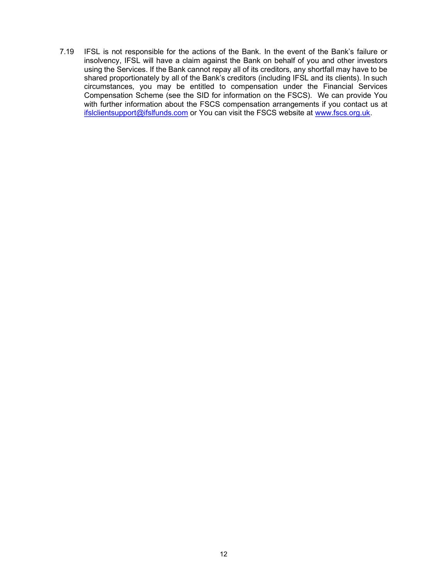7.19 IFSL is not responsible for the actions of the Bank. In the event of the Bank's failure or insolvency, IFSL will have a claim against the Bank on behalf of you and other investors using the Services. If the Bank cannot repay all of its creditors, any shortfall may have to be shared proportionately by all of the Bank's creditors (including IFSL and its clients). In such circumstances, you may be entitled to compensation under the Financial Services Compensation Scheme (see the SID for information on the FSCS). We can provide You with further information about the FSCS compensation arrangements if you contact us at ifslclientsupport@ifslfunds.com or You can visit the FSCS website at www.fscs.org.uk.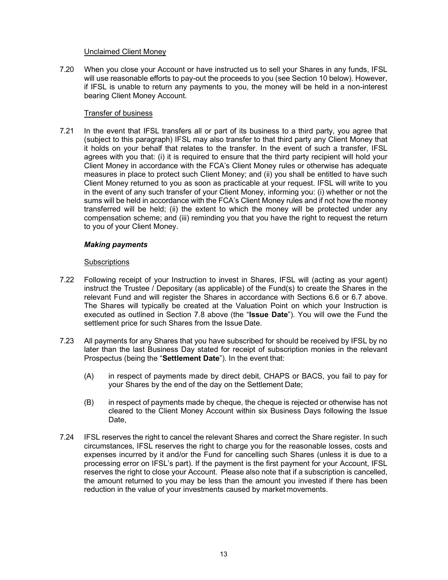### Unclaimed Client Money

7.20 When you close your Account or have instructed us to sell your Shares in any funds, IFSL will use reasonable efforts to pay-out the proceeds to you (see Section 10 below). However, if IFSL is unable to return any payments to you, the money will be held in a non-interest bearing Client Money Account.

### Transfer of business

7.21 In the event that IFSL transfers all or part of its business to a third party, you agree that (subject to this paragraph) IFSL may also transfer to that third party any Client Money that it holds on your behalf that relates to the transfer. In the event of such a transfer, IFSL agrees with you that: (i) it is required to ensure that the third party recipient will hold your Client Money in accordance with the FCA's Client Money rules or otherwise has adequate measures in place to protect such Client Money; and (ii) you shall be entitled to have such Client Money returned to you as soon as practicable at your request. IFSL will write to you in the event of any such transfer of your Client Money, informing you: (i) whether or not the sums will be held in accordance with the FCA's Client Money rules and if not how the money transferred will be held; (ii) the extent to which the money will be protected under any compensation scheme; and (iii) reminding you that you have the right to request the return to you of your Client Money.

### Making payments

### **Subscriptions**

- 7.22 Following receipt of your Instruction to invest in Shares, IFSL will (acting as your agent) instruct the Trustee / Depositary (as applicable) of the Fund(s) to create the Shares in the relevant Fund and will register the Shares in accordance with Sections 6.6 or 6.7 above. The Shares will typically be created at the Valuation Point on which your Instruction is executed as outlined in Section 7.8 above (the "Issue Date"). You will owe the Fund the settlement price for such Shares from the Issue Date.
- 7.23 All payments for any Shares that you have subscribed for should be received by IFSL by no later than the last Business Day stated for receipt of subscription monies in the relevant Prospectus (being the "Settlement Date"). In the event that:
	- (A) in respect of payments made by direct debit, CHAPS or BACS, you fail to pay for your Shares by the end of the day on the Settlement Date;
	- (B) in respect of payments made by cheque, the cheque is rejected or otherwise has not cleared to the Client Money Account within six Business Days following the Issue Date.
- 7.24 IFSL reserves the right to cancel the relevant Shares and correct the Share register. In such circumstances, IFSL reserves the right to charge you for the reasonable losses, costs and expenses incurred by it and/or the Fund for cancelling such Shares (unless it is due to a processing error on IFSL's part). If the payment is the first payment for your Account, IFSL reserves the right to close your Account. Please also note that if a subscription is cancelled, the amount returned to you may be less than the amount you invested if there has been reduction in the value of your investments caused by market movements.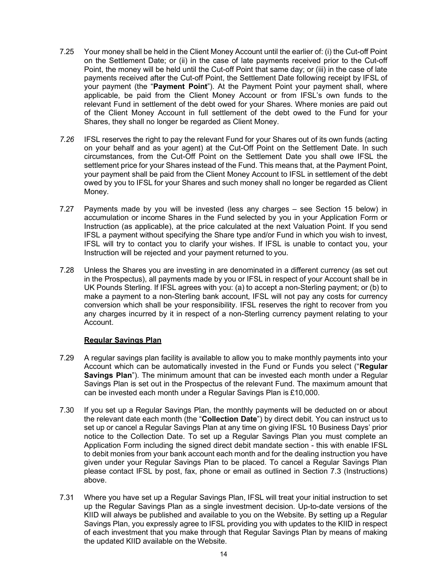- 7.25 Your money shall be held in the Client Money Account until the earlier of: (i) the Cut-off Point on the Settlement Date; or (ii) in the case of late payments received prior to the Cut-off Point, the money will be held until the Cut-off Point that same day; or (iii) in the case of late payments received after the Cut-off Point, the Settlement Date following receipt by IFSL of your payment (the "Payment Point"). At the Payment Point your payment shall, where applicable, be paid from the Client Money Account or from IFSL's own funds to the relevant Fund in settlement of the debt owed for your Shares. Where monies are paid out of the Client Money Account in full settlement of the debt owed to the Fund for your Shares, they shall no longer be regarded as Client Money.
- 7.26 IFSL reserves the right to pay the relevant Fund for your Shares out of its own funds (acting on your behalf and as your agent) at the Cut-Off Point on the Settlement Date. In such circumstances, from the Cut-Off Point on the Settlement Date you shall owe IFSL the settlement price for your Shares instead of the Fund. This means that, at the Payment Point, your payment shall be paid from the Client Money Account to IFSL in settlement of the debt owed by you to IFSL for your Shares and such money shall no longer be regarded as Client Money.
- 7.27 Payments made by you will be invested (less any charges see Section 15 below) in accumulation or income Shares in the Fund selected by you in your Application Form or Instruction (as applicable), at the price calculated at the next Valuation Point. If you send IFSL a payment without specifying the Share type and/or Fund in which you wish to invest, IFSL will try to contact you to clarify your wishes. If IFSL is unable to contact you, your Instruction will be rejected and your payment returned to you.
- 7.28 Unless the Shares you are investing in are denominated in a different currency (as set out in the Prospectus), all payments made by you or IFSL in respect of your Account shall be in UK Pounds Sterling. If IFSL agrees with you: (a) to accept a non-Sterling payment; or (b) to make a payment to a non-Sterling bank account, IFSL will not pay any costs for currency conversion which shall be your responsibility. IFSL reserves the right to recover from you any charges incurred by it in respect of a non-Sterling currency payment relating to your Account.

## Regular Savings Plan

- 7.29 A regular savings plan facility is available to allow you to make monthly payments into your Account which can be automatically invested in the Fund or Funds you select ("Regular Savings Plan"). The minimum amount that can be invested each month under a Regular Savings Plan is set out in the Prospectus of the relevant Fund. The maximum amount that can be invested each month under a Regular Savings Plan is £10,000.
- 7.30 If you set up a Regular Savings Plan, the monthly payments will be deducted on or about the relevant date each month (the "Collection Date") by direct debit. You can instruct us to set up or cancel a Regular Savings Plan at any time on giving IFSL 10 Business Days' prior notice to the Collection Date. To set up a Regular Savings Plan you must complete an Application Form including the signed direct debit mandate section - this with enable IFSL to debit monies from your bank account each month and for the dealing instruction you have given under your Regular Savings Plan to be placed. To cancel a Regular Savings Plan please contact IFSL by post, fax, phone or email as outlined in Section 7.3 (Instructions) above.
- 7.31 Where you have set up a Regular Savings Plan, IFSL will treat your initial instruction to set up the Regular Savings Plan as a single investment decision. Up-to-date versions of the KIID will always be published and available to you on the Website. By setting up a Regular Savings Plan, you expressly agree to IFSL providing you with updates to the KIID in respect of each investment that you make through that Regular Savings Plan by means of making the updated KIID available on the Website.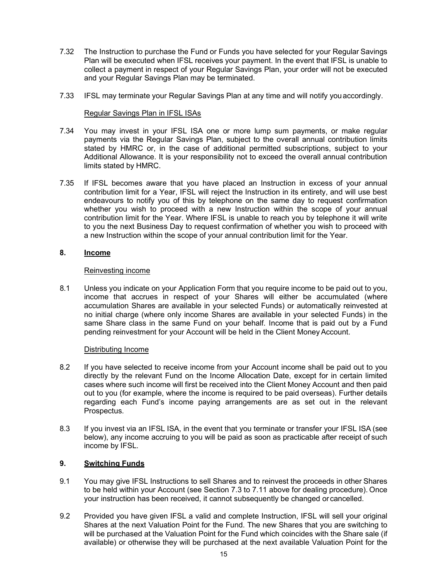- 7.32 The Instruction to purchase the Fund or Funds you have selected for your Regular Savings Plan will be executed when IFSL receives your payment. In the event that IFSL is unable to collect a payment in respect of your Regular Savings Plan, your order will not be executed and your Regular Savings Plan may be terminated.
- 7.33 IFSL may terminate your Regular Savings Plan at any time and will notify you accordingly.

### Regular Savings Plan in IFSL ISAs

- 7.34 You may invest in your IFSL ISA one or more lump sum payments, or make regular payments via the Regular Savings Plan, subject to the overall annual contribution limits stated by HMRC or, in the case of additional permitted subscriptions, subject to your Additional Allowance. It is your responsibility not to exceed the overall annual contribution limits stated by HMRC.
- 7.35 If IFSL becomes aware that you have placed an Instruction in excess of your annual contribution limit for a Year, IFSL will reject the Instruction in its entirety, and will use best endeavours to notify you of this by telephone on the same day to request confirmation whether you wish to proceed with a new Instruction within the scope of your annual contribution limit for the Year. Where IFSL is unable to reach you by telephone it will write to you the next Business Day to request confirmation of whether you wish to proceed with a new Instruction within the scope of your annual contribution limit for the Year.

### 8. Income

### Reinvesting income

8.1 Unless you indicate on your Application Form that you require income to be paid out to you, income that accrues in respect of your Shares will either be accumulated (where accumulation Shares are available in your selected Funds) or automatically reinvested at no initial charge (where only income Shares are available in your selected Funds) in the same Share class in the same Fund on your behalf. Income that is paid out by a Fund pending reinvestment for your Account will be held in the Client Money Account.

## Distributing Income

- 8.2 If you have selected to receive income from your Account income shall be paid out to you directly by the relevant Fund on the Income Allocation Date, except for in certain limited cases where such income will first be received into the Client Money Account and then paid out to you (for example, where the income is required to be paid overseas). Further details regarding each Fund's income paying arrangements are as set out in the relevant Prospectus.
- 8.3 If you invest via an IFSL ISA, in the event that you terminate or transfer your IFSL ISA (see below), any income accruing to you will be paid as soon as practicable after receipt of such income by IFSL.

## 9. Switching Funds

- 9.1 You may give IFSL Instructions to sell Shares and to reinvest the proceeds in other Shares to be held within your Account (see Section 7.3 to 7.11 above for dealing procedure). Once your instruction has been received, it cannot subsequently be changed or cancelled.
- 9.2 Provided you have given IFSL a valid and complete Instruction, IFSL will sell your original Shares at the next Valuation Point for the Fund. The new Shares that you are switching to will be purchased at the Valuation Point for the Fund which coincides with the Share sale (if available) or otherwise they will be purchased at the next available Valuation Point for the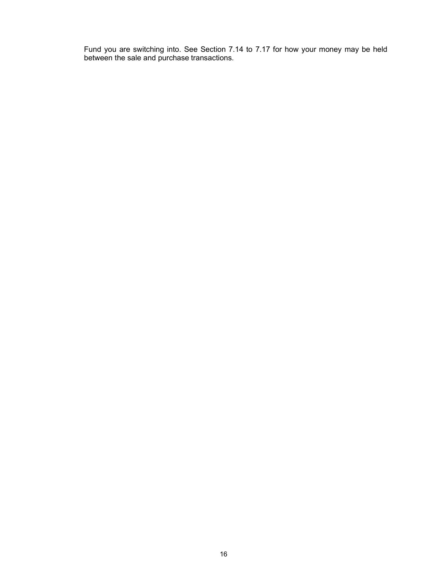Fund you are switching into. See Section 7.14 to 7.17 for how your money may be held between the sale and purchase transactions.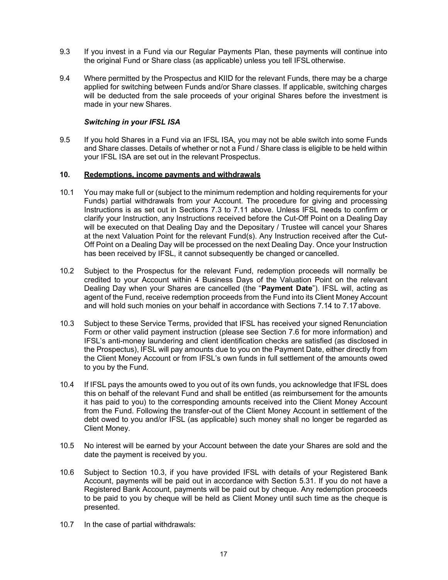- 9.3 If you invest in a Fund via our Regular Payments Plan, these payments will continue into the original Fund or Share class (as applicable) unless you tell IFSL otherwise.
- 9.4 Where permitted by the Prospectus and KIID for the relevant Funds, there may be a charge applied for switching between Funds and/or Share classes. If applicable, switching charges will be deducted from the sale proceeds of your original Shares before the investment is made in your new Shares.

### Switching in your IFSL ISA

9.5 If you hold Shares in a Fund via an IFSL ISA, you may not be able switch into some Funds and Share classes. Details of whether or not a Fund / Share class is eligible to be held within your IFSL ISA are set out in the relevant Prospectus.

### 10. Redemptions, income payments and withdrawals

- 10.1 You may make full or (subject to the minimum redemption and holding requirements for your Funds) partial withdrawals from your Account. The procedure for giving and processing Instructions is as set out in Sections 7.3 to 7.11 above. Unless IFSL needs to confirm or clarify your Instruction, any Instructions received before the Cut-Off Point on a Dealing Day will be executed on that Dealing Day and the Depositary / Trustee will cancel your Shares at the next Valuation Point for the relevant Fund(s). Any Instruction received after the Cut-Off Point on a Dealing Day will be processed on the next Dealing Day. Once your Instruction has been received by IFSL, it cannot subsequently be changed or cancelled.
- 10.2 Subject to the Prospectus for the relevant Fund, redemption proceeds will normally be credited to your Account within 4 Business Days of the Valuation Point on the relevant Dealing Day when your Shares are cancelled (the "Payment Date"). IFSL will, acting as agent of the Fund, receive redemption proceeds from the Fund into its Client Money Account and will hold such monies on your behalf in accordance with Sections 7.14 to 7.17 above.
- 10.3 Subject to these Service Terms, provided that IFSL has received your signed Renunciation Form or other valid payment instruction (please see Section 7.6 for more information) and IFSL's anti-money laundering and client identification checks are satisfied (as disclosed in the Prospectus), IFSL will pay amounts due to you on the Payment Date, either directly from the Client Money Account or from IFSL's own funds in full settlement of the amounts owed to you by the Fund.
- 10.4 If IFSL pays the amounts owed to you out of its own funds, you acknowledge that IFSL does this on behalf of the relevant Fund and shall be entitled (as reimbursement for the amounts it has paid to you) to the corresponding amounts received into the Client Money Account from the Fund. Following the transfer-out of the Client Money Account in settlement of the debt owed to you and/or IFSL (as applicable) such money shall no longer be regarded as Client Money.
- 10.5 No interest will be earned by your Account between the date your Shares are sold and the date the payment is received by you.
- 10.6 Subject to Section 10.3, if you have provided IFSL with details of your Registered Bank Account, payments will be paid out in accordance with Section 5.31. If you do not have a Registered Bank Account, payments will be paid out by cheque. Any redemption proceeds to be paid to you by cheque will be held as Client Money until such time as the cheque is presented.
- 10.7 In the case of partial withdrawals: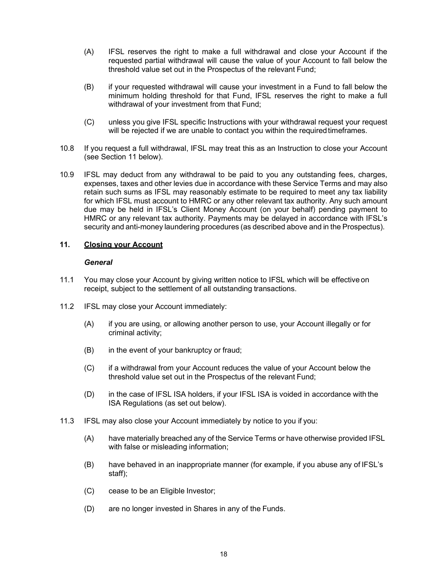- (A) IFSL reserves the right to make a full withdrawal and close your Account if the requested partial withdrawal will cause the value of your Account to fall below the threshold value set out in the Prospectus of the relevant Fund;
- (B) if your requested withdrawal will cause your investment in a Fund to fall below the minimum holding threshold for that Fund, IFSL reserves the right to make a full withdrawal of your investment from that Fund;
- (C) unless you give IFSL specific Instructions with your withdrawal request your request will be rejected if we are unable to contact you within the required timeframes.
- 10.8 If you request a full withdrawal, IFSL may treat this as an Instruction to close your Account (see Section 11 below).
- 10.9 IFSL may deduct from any withdrawal to be paid to you any outstanding fees, charges, expenses, taxes and other levies due in accordance with these Service Terms and may also retain such sums as IFSL may reasonably estimate to be required to meet any tax liability for which IFSL must account to HMRC or any other relevant tax authority. Any such amount due may be held in IFSL's Client Money Account (on your behalf) pending payment to HMRC or any relevant tax authority. Payments may be delayed in accordance with IFSL's security and anti-money laundering procedures (as described above and in the Prospectus).

### 11. Closing your Account

#### **General**

- 11.1 You may close your Account by giving written notice to IFSL which will be effective on receipt, subject to the settlement of all outstanding transactions.
- 11.2 IFSL may close your Account immediately:
	- (A) if you are using, or allowing another person to use, your Account illegally or for criminal activity;
	- (B) in the event of your bankruptcy or fraud;
	- (C) if a withdrawal from your Account reduces the value of your Account below the threshold value set out in the Prospectus of the relevant Fund;
	- (D) in the case of IFSL ISA holders, if your IFSL ISA is voided in accordance with the ISA Regulations (as set out below).
- 11.3 IFSL may also close your Account immediately by notice to you if you:
	- (A) have materially breached any of the Service Terms or have otherwise provided IFSL with false or misleading information;
	- (B) have behaved in an inappropriate manner (for example, if you abuse any of IFSL's staff);
	- (C) cease to be an Eligible Investor;
	- (D) are no longer invested in Shares in any of the Funds.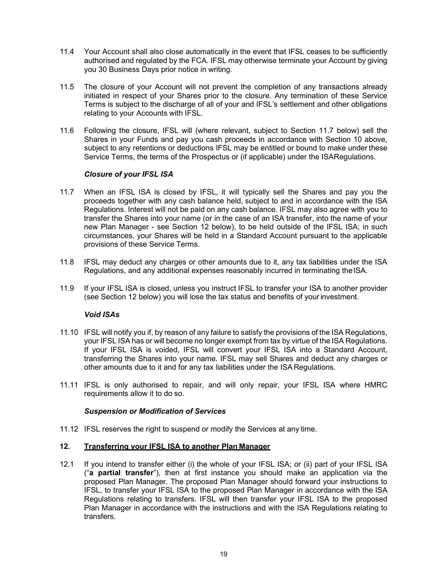- 11.4 Your Account shall also close automatically in the event that IFSL ceases to be sufficiently authorised and regulated by the FCA. IFSL may otherwise terminate your Account by giving you 30 Business Days prior notice in writing.
- 11.5 The closure of your Account will not prevent the completion of any transactions already initiated in respect of your Shares prior to the closure. Any termination of these Service Terms is subject to the discharge of all of your and IFSL's settlement and other obligations relating to your Accounts with IFSL.
- 11.6 Following the closure, IFSL will (where relevant, subject to Section 11.7 below) sell the Shares in your Funds and pay you cash proceeds in accordance with Section 10 above, subject to any retentions or deductions IFSL may be entitled or bound to make under these Service Terms, the terms of the Prospectus or (if applicable) under the ISA Regulations.

## Closure of your IFSL ISA

- 11.7 When an IFSL ISA is closed by IFSL, it will typically sell the Shares and pay you the proceeds together with any cash balance held, subject to and in accordance with the ISA Regulations. Interest will not be paid on any cash balance. IFSL may also agree with you to transfer the Shares into your name (or in the case of an ISA transfer, into the name of your new Plan Manager - see Section 12 below), to be held outside of the IFSL ISA; in such circumstances, your Shares will be held in a Standard Account pursuant to the applicable provisions of these Service Terms.
- 11.8 IFSL may deduct any charges or other amounts due to it, any tax liabilities under the ISA Regulations, and any additional expenses reasonably incurred in terminating the ISA.
- 11.9 If your IFSL ISA is closed, unless you instruct IFSL to transfer your ISA to another provider (see Section 12 below) you will lose the tax status and benefits of your investment.

## Void ISAs

- 11.10 IFSL will notify you if, by reason of any failure to satisfy the provisions of the ISA Regulations, your IFSL ISA has or will become no longer exempt from tax by virtue of the ISA Regulations. If your IFSL ISA is voided, IFSL will convert your IFSL ISA into a Standard Account, transferring the Shares into your name. IFSL may sell Shares and deduct any charges or other amounts due to it and for any tax liabilities under the ISA Regulations.
- 11.11 IFSL is only authorised to repair, and will only repair, your IFSL ISA where HMRC requirements allow it to do so.

#### Suspension or Modification of Services

11.12 IFSL reserves the right to suspend or modify the Services at any time.

## 12. Transferring your IFSL ISA to another Plan Manager

12.1 If you intend to transfer either (i) the whole of your IFSL ISA; or (ii) part of your IFSL ISA ("a partial transfer"), then at first instance you should make an application via the proposed Plan Manager. The proposed Plan Manager should forward your instructions to IFSL, to transfer your IFSL ISA to the proposed Plan Manager in accordance with the ISA Regulations relating to transfers. IFSL will then transfer your IFSL ISA to the proposed Plan Manager in accordance with the instructions and with the ISA Regulations relating to transfers.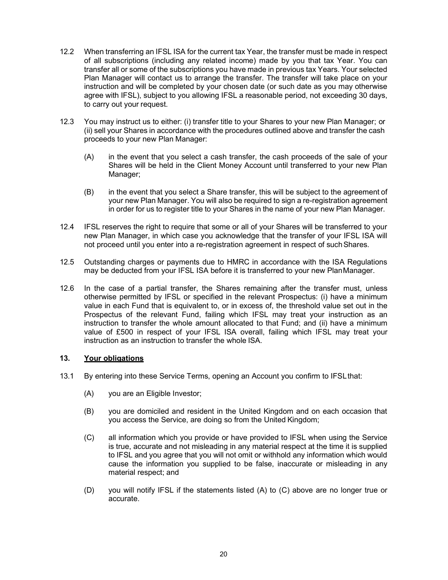- 12.2 When transferring an IFSL ISA for the current tax Year, the transfer must be made in respect of all subscriptions (including any related income) made by you that tax Year. You can transfer all or some of the subscriptions you have made in previous tax Years. Your selected Plan Manager will contact us to arrange the transfer. The transfer will take place on your instruction and will be completed by your chosen date (or such date as you may otherwise agree with IFSL), subject to you allowing IFSL a reasonable period, not exceeding 30 days, to carry out your request.
- 12.3 You may instruct us to either: (i) transfer title to your Shares to your new Plan Manager; or (ii) sell your Shares in accordance with the procedures outlined above and transfer the cash proceeds to your new Plan Manager:
	- (A) in the event that you select a cash transfer, the cash proceeds of the sale of your Shares will be held in the Client Money Account until transferred to your new Plan Manager:
	- (B) in the event that you select a Share transfer, this will be subject to the agreement of your new Plan Manager. You will also be required to sign a re-registration agreement in order for us to register title to your Shares in the name of your new Plan Manager.
- 12.4 IFSL reserves the right to require that some or all of your Shares will be transferred to your new Plan Manager, in which case you acknowledge that the transfer of your IFSL ISA will not proceed until you enter into a re-registration agreement in respect of such Shares.
- 12.5 Outstanding charges or payments due to HMRC in accordance with the ISA Regulations may be deducted from your IFSL ISA before it is transferred to your new Plan Manager.
- 12.6 In the case of a partial transfer, the Shares remaining after the transfer must, unless otherwise permitted by IFSL or specified in the relevant Prospectus: (i) have a minimum value in each Fund that is equivalent to, or in excess of, the threshold value set out in the Prospectus of the relevant Fund, failing which IFSL may treat your instruction as an instruction to transfer the whole amount allocated to that Fund; and (ii) have a minimum value of £500 in respect of your IFSL ISA overall, failing which IFSL may treat your instruction as an instruction to transfer the whole ISA.

## 13. Your obligations

- 13.1 By entering into these Service Terms, opening an Account you confirm to IFSL that:
	- (A) you are an Eligible Investor;
	- (B) you are domiciled and resident in the United Kingdom and on each occasion that you access the Service, are doing so from the United Kingdom;
	- (C) all information which you provide or have provided to IFSL when using the Service is true, accurate and not misleading in any material respect at the time it is supplied to IFSL and you agree that you will not omit or withhold any information which would cause the information you supplied to be false, inaccurate or misleading in any material respect; and
	- (D) you will notify IFSL if the statements listed (A) to (C) above are no longer true or accurate.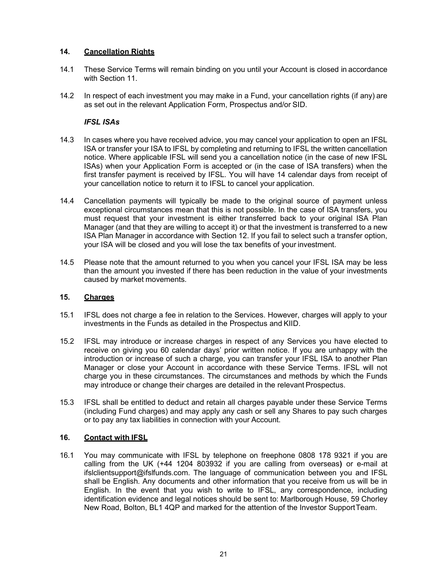# 14. Cancellation Rights

- 14.1 These Service Terms will remain binding on you until your Account is closed in accordance with Section 11.
- 14.2 In respect of each investment you may make in a Fund, your cancellation rights (if any) are as set out in the relevant Application Form, Prospectus and/or SID.

## IFSL ISAs

- 14.3 In cases where you have received advice, you may cancel your application to open an IFSL ISA or transfer your ISA to IFSL by completing and returning to IFSL the written cancellation notice. Where applicable IFSL will send you a cancellation notice (in the case of new IFSL ISAs) when your Application Form is accepted or (in the case of ISA transfers) when the first transfer payment is received by IFSL. You will have 14 calendar days from receipt of your cancellation notice to return it to IFSL to cancel your application.
- 14.4 Cancellation payments will typically be made to the original source of payment unless exceptional circumstances mean that this is not possible. In the case of ISA transfers, you must request that your investment is either transferred back to your original ISA Plan Manager (and that they are willing to accept it) or that the investment is transferred to a new ISA Plan Manager in accordance with Section 12. If you fail to select such a transfer option, your ISA will be closed and you will lose the tax benefits of your investment.
- 14.5 Please note that the amount returned to you when you cancel your IFSL ISA may be less than the amount you invested if there has been reduction in the value of your investments caused by market movements.

## 15. Charges

- 15.1 IFSL does not charge a fee in relation to the Services. However, charges will apply to your investments in the Funds as detailed in the Prospectus and KIID.
- 15.2 IFSL may introduce or increase charges in respect of any Services you have elected to receive on giving you 60 calendar days' prior written notice. If you are unhappy with the introduction or increase of such a charge, you can transfer your IFSL ISA to another Plan Manager or close your Account in accordance with these Service Terms. IFSL will not charge you in these circumstances. The circumstances and methods by which the Funds may introduce or change their charges are detailed in the relevant Prospectus.
- 15.3 IFSL shall be entitled to deduct and retain all charges payable under these Service Terms (including Fund charges) and may apply any cash or sell any Shares to pay such charges or to pay any tax liabilities in connection with your Account.

## 16. Contact with IFSL

16.1 You may communicate with IFSL by telephone on freephone 0808 178 9321 if you are calling from the UK (+44 1204 803932 if you are calling from overseas) or e-mail at ifslclientsupport@ifslfunds.com. The language of communication between you and IFSL shall be English. Any documents and other information that you receive from us will be in English. In the event that you wish to write to IFSL, any correspondence, including identification evidence and legal notices should be sent to: Marlborough House, 59 Chorley New Road, Bolton, BL1 4QP and marked for the attention of the Investor Support Team.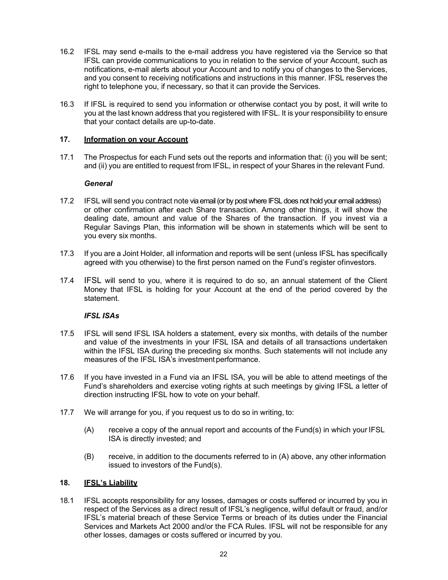- 16.2 IFSL may send e-mails to the e-mail address you have registered via the Service so that IFSL can provide communications to you in relation to the service of your Account, such as notifications, e-mail alerts about your Account and to notify you of changes to the Services, and you consent to receiving notifications and instructions in this manner. IFSL reserves the right to telephone you, if necessary, so that it can provide the Services.
- 16.3 If IFSL is required to send you information or otherwise contact you by post, it will write to you at the last known address that you registered with IFSL. It is your responsibility to ensure that your contact details are up-to-date.

## 17. **Information on your Account**

17.1 The Prospectus for each Fund sets out the reports and information that: (i) you will be sent; and (ii) you are entitled to request from IFSL, in respect of your Shares in the relevant Fund.

### **General**

- 17.2 IFSL will send you contract note via email (or by post where IFSL does not hold your email address) or other confirmation after each Share transaction. Among other things, it will show the dealing date, amount and value of the Shares of the transaction. If you invest via a Regular Savings Plan, this information will be shown in statements which will be sent to you every six months.
- 17.3 If you are a Joint Holder, all information and reports will be sent (unless IFSL has specifically agreed with you otherwise) to the first person named on the Fund's register of investors.
- 17.4 IFSL will send to you, where it is required to do so, an annual statement of the Client Money that IFSL is holding for your Account at the end of the period covered by the statement.

## IFSL ISAs

- 17.5 IFSL will send IFSL ISA holders a statement, every six months, with details of the number and value of the investments in your IFSL ISA and details of all transactions undertaken within the IFSL ISA during the preceding six months. Such statements will not include any measures of the IFSL ISA's investment performance.
- 17.6 If you have invested in a Fund via an IFSL ISA, you will be able to attend meetings of the Fund's shareholders and exercise voting rights at such meetings by giving IFSL a letter of direction instructing IFSL how to vote on your behalf.
- 17.7 We will arrange for you, if you request us to do so in writing, to:
	- (A) receive a copy of the annual report and accounts of the Fund(s) in which your IFSL ISA is directly invested; and
	- (B) receive, in addition to the documents referred to in (A) above, any other information issued to investors of the Fund(s).

### 18. **IFSL's Liability**

18.1 IFSL accepts responsibility for any losses, damages or costs suffered or incurred by you in respect of the Services as a direct result of IFSL's negligence, wilful default or fraud, and/or IFSL's material breach of these Service Terms or breach of its duties under the Financial Services and Markets Act 2000 and/or the FCA Rules. IFSL will not be responsible for any other losses, damages or costs suffered or incurred by you.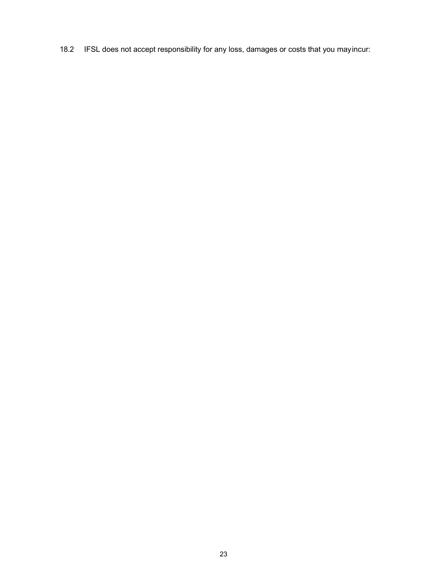18.2 IFSL does not accept responsibility for any loss, damages or costs that you may incur: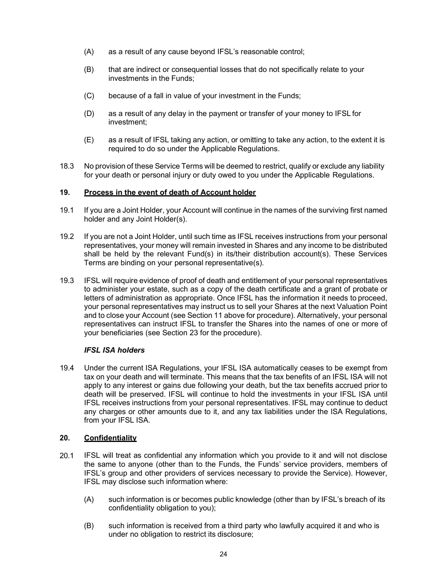- (A) as a result of any cause beyond IFSL's reasonable control;
- (B) that are indirect or consequential losses that do not specifically relate to your investments in the Funds;
- (C) because of a fall in value of your investment in the Funds;
- (D) as a result of any delay in the payment or transfer of your money to IFSL for investment;
- (E) as a result of IFSL taking any action, or omitting to take any action, to the extent it is required to do so under the Applicable Regulations.
- 18.3 No provision of these Service Terms will be deemed to restrict, qualify or exclude any liability for your death or personal injury or duty owed to you under the Applicable Regulations.

### 19. Process in the event of death of Account holder

- 19.1 If you are a Joint Holder, your Account will continue in the names of the surviving first named holder and any Joint Holder(s).
- 19.2 If you are not a Joint Holder, until such time as IFSL receives instructions from your personal representatives, your money will remain invested in Shares and any income to be distributed shall be held by the relevant Fund(s) in its/their distribution account(s). These Services Terms are binding on your personal representative(s).
- 19.3 IFSL will require evidence of proof of death and entitlement of your personal representatives to administer your estate, such as a copy of the death certificate and a grant of probate or letters of administration as appropriate. Once IFSL has the information it needs to proceed, your personal representatives may instruct us to sell your Shares at the next Valuation Point and to close your Account (see Section 11 above for procedure). Alternatively, your personal representatives can instruct IFSL to transfer the Shares into the names of one or more of your beneficiaries (see Section 23 for the procedure).

## IFSL ISA holders

19.4 Under the current ISA Regulations, your IFSL ISA automatically ceases to be exempt from tax on your death and will terminate. This means that the tax benefits of an IFSL ISA will not apply to any interest or gains due following your death, but the tax benefits accrued prior to death will be preserved. IFSL will continue to hold the investments in your IFSL ISA until IFSL receives instructions from your personal representatives. IFSL may continue to deduct any charges or other amounts due to it, and any tax liabilities under the ISA Regulations, from your IFSL ISA.

#### 20. Confidentiality

- 20.1 IFSL will treat as confidential any information which you provide to it and will not disclose the same to anyone (other than to the Funds, the Funds' service providers, members of IFSL's group and other providers of services necessary to provide the Service). However, IFSL may disclose such information where:
	- (A) such information is or becomes public knowledge (other than by IFSL's breach of its confidentiality obligation to you);
	- (B) such information is received from a third party who lawfully acquired it and who is under no obligation to restrict its disclosure;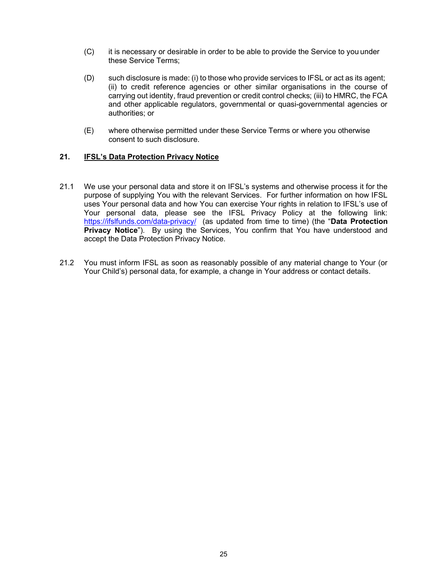- (C) it is necessary or desirable in order to be able to provide the Service to you under these Service Terms;
- (D) such disclosure is made: (i) to those who provide services to IFSL or act as its agent; (ii) to credit reference agencies or other similar organisations in the course of carrying out identity, fraud prevention or credit control checks; (iii) to HMRC, the FCA and other applicable regulators, governmental or quasi-governmental agencies or authorities; or
- (E) where otherwise permitted under these Service Terms or where you otherwise consent to such disclosure.

## 21. **IFSL's Data Protection Privacy Notice**

- 21.1 We use your personal data and store it on IFSL's systems and otherwise process it for the purpose of supplying You with the relevant Services. For further information on how IFSL uses Your personal data and how You can exercise Your rights in relation to IFSL's use of Your personal data, please see the IFSL Privacy Policy at the following link: https://ifslfunds.com/data-privacy/ (as updated from time to time) (the "Data Protection Privacy Notice"). By using the Services, You confirm that You have understood and accept the Data Protection Privacy Notice.
- 21.2 You must inform IFSL as soon as reasonably possible of any material change to Your (or Your Child's) personal data, for example, a change in Your address or contact details.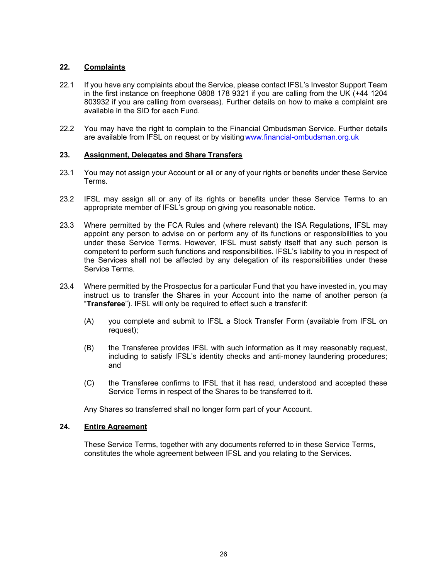# 22. Complaints

- 22.1 If you have any complaints about the Service, please contact IFSL's Investor Support Team in the first instance on freephone 0808 178 9321 if you are calling from the UK (+44 1204 803932 if you are calling from overseas). Further details on how to make a complaint are available in the SID for each Fund.
- 22.2 You may have the right to complain to the Financial Ombudsman Service. Further details are available from IFSL on request or by visiting www.financial-ombudsman.org.uk

## 23. Assignment, Delegates and Share Transfers

- 23.1 You may not assign your Account or all or any of your rights or benefits under these Service Terms.
- 23.2 IFSL may assign all or any of its rights or benefits under these Service Terms to an appropriate member of IFSL's group on giving you reasonable notice.
- 23.3 Where permitted by the FCA Rules and (where relevant) the ISA Regulations, IFSL may appoint any person to advise on or perform any of its functions or responsibilities to you under these Service Terms. However, IFSL must satisfy itself that any such person is competent to perform such functions and responsibilities. IFSL's liability to you in respect of the Services shall not be affected by any delegation of its responsibilities under these Service Terms.
- 23.4 Where permitted by the Prospectus for a particular Fund that you have invested in, you may instruct us to transfer the Shares in your Account into the name of another person (a "Transferee"). IFSL will only be required to effect such a transfer if:
	- (A) you complete and submit to IFSL a Stock Transfer Form (available from IFSL on request);
	- (B) the Transferee provides IFSL with such information as it may reasonably request, including to satisfy IFSL's identity checks and anti-money laundering procedures; and
	- (C) the Transferee confirms to IFSL that it has read, understood and accepted these Service Terms in respect of the Shares to be transferred to it.

Any Shares so transferred shall no longer form part of your Account.

## 24. Entire Agreement

These Service Terms, together with any documents referred to in these Service Terms, constitutes the whole agreement between IFSL and you relating to the Services.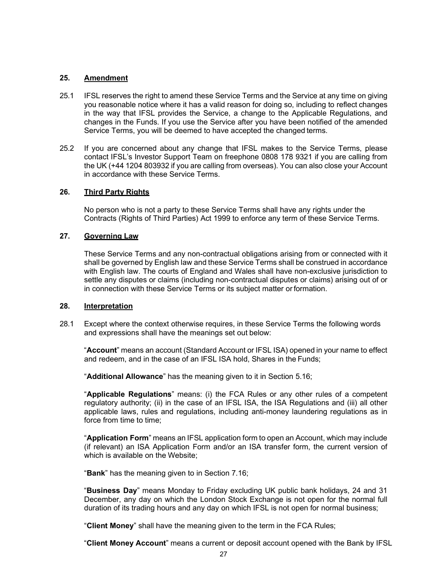### 25. Amendment

- 25.1 IFSL reserves the right to amend these Service Terms and the Service at any time on giving you reasonable notice where it has a valid reason for doing so, including to reflect changes in the way that IFSL provides the Service, a change to the Applicable Regulations, and changes in the Funds. If you use the Service after you have been notified of the amended Service Terms, you will be deemed to have accepted the changed terms.
- 25.2 If you are concerned about any change that IFSL makes to the Service Terms, please contact IFSL's Investor Support Team on freephone 0808 178 9321 if you are calling from the UK (+44 1204 803932 if you are calling from overseas). You can also close your Account in accordance with these Service Terms.

#### 26. Third Party Rights

No person who is not a party to these Service Terms shall have any rights under the Contracts (Rights of Third Parties) Act 1999 to enforce any term of these Service Terms.

### 27. Governing Law

These Service Terms and any non-contractual obligations arising from or connected with it shall be governed by English law and these Service Terms shall be construed in accordance with English law. The courts of England and Wales shall have non-exclusive jurisdiction to settle any disputes or claims (including non-contractual disputes or claims) arising out of or in connection with these Service Terms or its subject matter or formation.

### 28. Interpretation

28.1 Except where the context otherwise requires, in these Service Terms the following words and expressions shall have the meanings set out below:

"Account" means an account (Standard Account or IFSL ISA) opened in your name to effect and redeem, and in the case of an IFSL ISA hold, Shares in the Funds;

"Additional Allowance" has the meaning given to it in Section 5.16;

"Applicable Regulations" means: (i) the FCA Rules or any other rules of a competent regulatory authority; (ii) in the case of an IFSL ISA, the ISA Regulations and (iii) all other applicable laws, rules and regulations, including anti-money laundering regulations as in force from time to time;

"Application Form" means an IFSL application form to open an Account, which may include (if relevant) an ISA Application Form and/or an ISA transfer form, the current version of which is available on the Website;

"Bank" has the meaning given to in Section 7.16;

"Business Day" means Monday to Friday excluding UK public bank holidays, 24 and 31 December, any day on which the London Stock Exchange is not open for the normal full duration of its trading hours and any day on which IFSL is not open for normal business;

"Client Money" shall have the meaning given to the term in the FCA Rules;

"Client Money Account" means a current or deposit account opened with the Bank by IFSL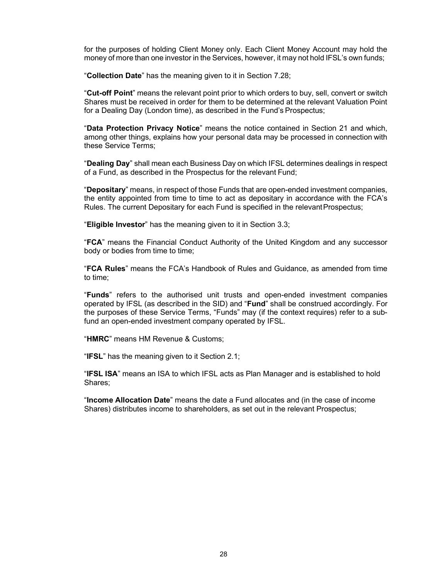for the purposes of holding Client Money only. Each Client Money Account may hold the money of more than one investor in the Services, however, it may not hold IFSL's own funds;

"Collection Date" has the meaning given to it in Section 7.28;

"Cut-off Point" means the relevant point prior to which orders to buy, sell, convert or switch Shares must be received in order for them to be determined at the relevant Valuation Point for a Dealing Day (London time), as described in the Fund's Prospectus;

"Data Protection Privacy Notice" means the notice contained in Section 21 and which, among other things, explains how your personal data may be processed in connection with these Service Terms;

"Dealing Day" shall mean each Business Day on which IFSL determines dealings in respect of a Fund, as described in the Prospectus for the relevant Fund;

"Depositary" means, in respect of those Funds that are open-ended investment companies, the entity appointed from time to time to act as depositary in accordance with the FCA's Rules. The current Depositary for each Fund is specified in the relevant Prospectus;

"Eligible Investor" has the meaning given to it in Section 3.3;

"FCA" means the Financial Conduct Authority of the United Kingdom and any successor body or bodies from time to time;

"FCA Rules" means the FCA's Handbook of Rules and Guidance, as amended from time to time;

"Funds" refers to the authorised unit trusts and open-ended investment companies operated by IFSL (as described in the SID) and "Fund" shall be construed accordingly. For the purposes of these Service Terms, "Funds" may (if the context requires) refer to a subfund an open-ended investment company operated by IFSL.

"HMRC" means HM Revenue & Customs;

"IFSL" has the meaning given to it Section 2.1;

"IFSL ISA" means an ISA to which IFSL acts as Plan Manager and is established to hold Shares;

"Income Allocation Date" means the date a Fund allocates and (in the case of income Shares) distributes income to shareholders, as set out in the relevant Prospectus;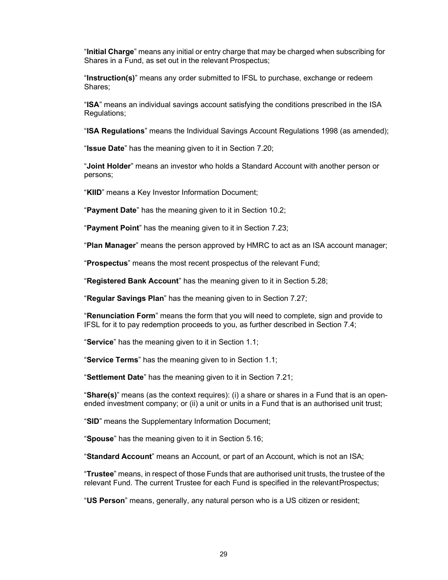"Initial Charge" means any initial or entry charge that may be charged when subscribing for Shares in a Fund, as set out in the relevant Prospectus;

"Instruction(s)" means any order submitted to IFSL to purchase, exchange or redeem Shares;

"ISA" means an individual savings account satisfying the conditions prescribed in the ISA Regulations;

"ISA Regulations" means the Individual Savings Account Regulations 1998 (as amended);

"Issue Date" has the meaning given to it in Section 7.20;

"Joint Holder" means an investor who holds a Standard Account with another person or persons;

"KIID" means a Key Investor Information Document;

"Payment Date" has the meaning given to it in Section 10.2;

"Payment Point" has the meaning given to it in Section 7.23;

"Plan Manager" means the person approved by HMRC to act as an ISA account manager;

"Prospectus" means the most recent prospectus of the relevant Fund;

"Registered Bank Account" has the meaning given to it in Section 5.28;

"Regular Savings Plan" has the meaning given to in Section 7.27;

"Renunciation Form" means the form that you will need to complete, sign and provide to IFSL for it to pay redemption proceeds to you, as further described in Section 7.4;

"Service" has the meaning given to it in Section 1.1;

"Service Terms" has the meaning given to in Section 1.1;

"Settlement Date" has the meaning given to it in Section 7.21;

"Share(s)" means (as the context requires): (i) a share or shares in a Fund that is an openended investment company; or (ii) a unit or units in a Fund that is an authorised unit trust;

"SID" means the Supplementary Information Document;

"Spouse" has the meaning given to it in Section 5.16;

"Standard Account" means an Account, or part of an Account, which is not an ISA;

"Trustee" means, in respect of those Funds that are authorised unit trusts, the trustee of the relevant Fund. The current Trustee for each Fund is specified in the relevant Prospectus;

"US Person" means, generally, any natural person who is a US citizen or resident;